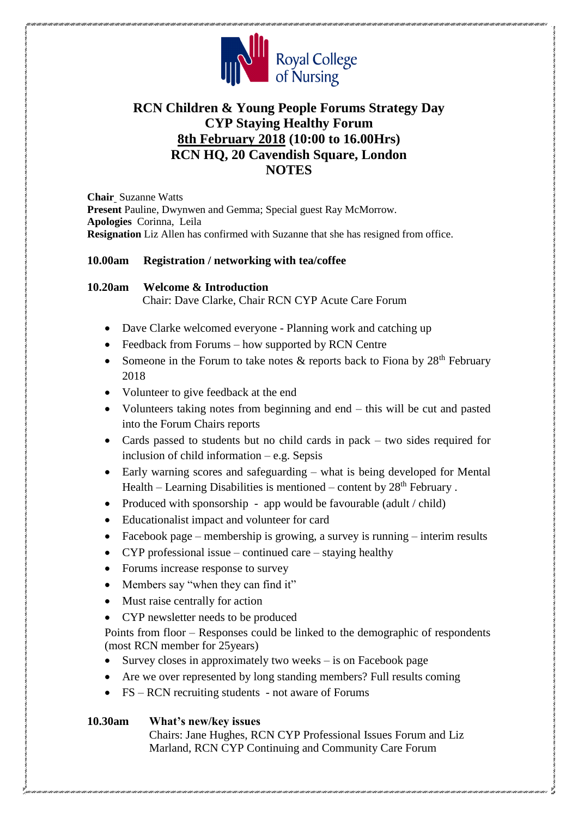

# **RCN Children & Young People Forums Strategy Day CYP Staying Healthy Forum 8th February 2018 (10:00 to 16.00Hrs) RCN HQ, 20 Cavendish Square, London NOTES**

**Chair** Suzanne Watts **Present** Pauline, Dwynwen and Gemma; Special guest Ray McMorrow. **Apologies** Corinna, Leila **Resignation** Liz Allen has confirmed with Suzanne that she has resigned from office.

## **10.00am Registration / networking with tea/coffee**

## **10.20am Welcome & Introduction**

Chair: Dave Clarke, Chair RCN CYP Acute Care Forum

- Dave Clarke welcomed everyone Planning work and catching up
- Feedback from Forums how supported by RCN Centre
- Someone in the Forum to take notes  $\&$  reports back to Fiona by 28<sup>th</sup> February 2018
- Volunteer to give feedback at the end
- Volunteers taking notes from beginning and end this will be cut and pasted into the Forum Chairs reports
- Cards passed to students but no child cards in pack two sides required for inclusion of child information – e.g. Sepsis
- Early warning scores and safeguarding what is being developed for Mental Health – Learning Disabilities is mentioned – content by  $28<sup>th</sup>$  February.
- Produced with sponsorship app would be favourable (adult / child)
- Educationalist impact and volunteer for card
- Facebook page membership is growing, a survey is running interim results
- CYP professional issue continued care staying healthy
- Forums increase response to survey
- Members say "when they can find it"
- Must raise centrally for action
- CYP newsletter needs to be produced

Points from floor – Responses could be linked to the demographic of respondents (most RCN member for 25years)

- Survey closes in approximately two weeks  $-$  is on Facebook page
- Are we over represented by long standing members? Full results coming
- FS RCN recruiting students not aware of Forums

## **10.30am What's new/key issues**

Chairs: Jane Hughes, RCN CYP Professional Issues Forum and Liz Marland, RCN CYP Continuing and Community Care Forum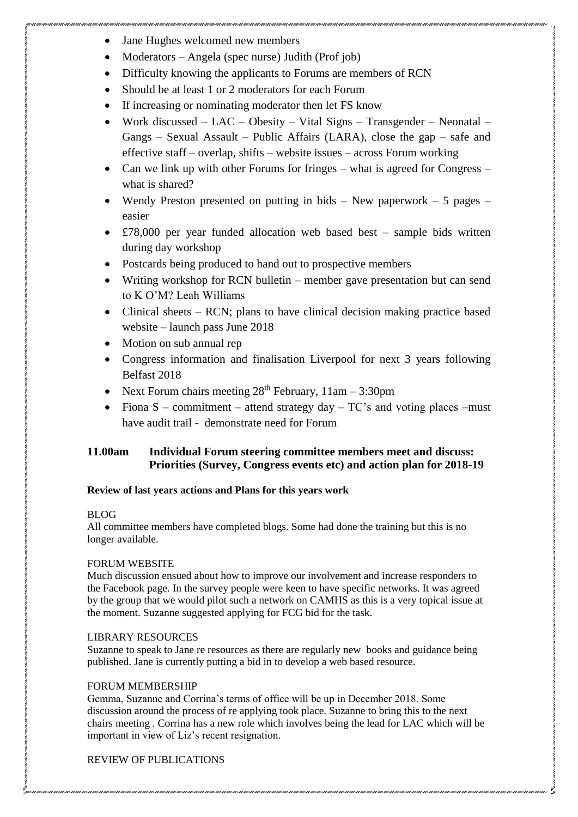- Jane Hughes welcomed new members
- Moderators Angela (spec nurse) Judith (Prof job)
- Difficulty knowing the applicants to Forums are members of RCN
- Should be at least 1 or 2 moderators for each Forum
- If increasing or nominating moderator then let FS know
- Work discussed LAC Obesity Vital Signs Transgender Neonatal Gangs – Sexual Assault – Public Affairs (LARA), close the gap – safe and effective staff – overlap, shifts – website issues – across Forum working
- Can we link up with other Forums for fringes what is agreed for Congress what is shared?
- Wendy Preston presented on putting in bids New paperwork 5 pages easier
- £78,000 per year funded allocation web based best sample bids written during day workshop
- Postcards being produced to hand out to prospective members
- Writing workshop for RCN bulletin member gave presentation but can send to K O'M? Leah Williams
- Clinical sheets RCN; plans to have clinical decision making practice based website – launch pass June 2018
- Motion on sub annual rep
- Congress information and finalisation Liverpool for next 3 years following Belfast 2018
- Next Forum chairs meeting  $28<sup>th</sup>$  February,  $11am 3:30pm$
- Fiona  $S$  commitment attend strategy day  $TC$ 's and voting places –must have audit trail - demonstrate need for Forum

## **11.00am Individual Forum steering committee members meet and discuss: Priorities (Survey, Congress events etc) and action plan for 2018-19**

## **Review of last years actions and Plans for this years work**

### BLOG

All committee members have completed blogs. Some had done the training but this is no longer available.

## FORUM WEBSITE

Much discussion ensued about how to improve our involvement and increase responders to the Facebook page. In the survey people were keen to have specific networks. It was agreed by the group that we would pilot such a network on CAMHS as this is a very topical issue at the moment. Suzanne suggested applying for FCG bid for the task.

### LIBRARY RESOURCES

Suzanne to speak to Jane re resources as there are regularly new books and guidance being published. Jane is currently putting a bid in to develop a web based resource.

## FORUM MEMBERSHIP

Gemma, Suzanne and Corrina's terms of office will be up in December 2018. Some discussion around the process of re applying took place. Suzanne to bring this to the next chairs meeting . Corrina has a new role which involves being the lead for LAC which will be important in view of Liz's recent resignation.

## REVIEW OF PUBLICATIONS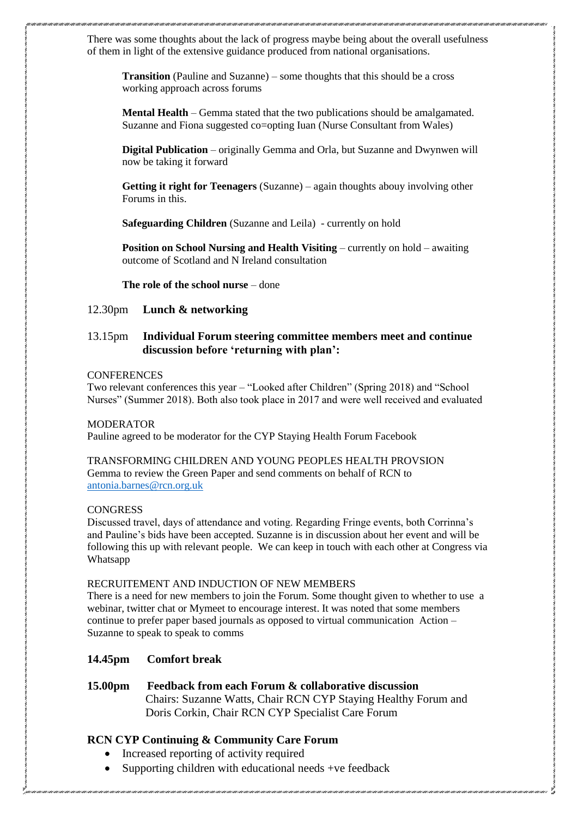There was some thoughts about the lack of progress maybe being about the overall usefulness of them in light of the extensive guidance produced from national organisations.

**Transition** (Pauline and Suzanne) – some thoughts that this should be a cross working approach across forums

**Mental Health** – Gemma stated that the two publications should be amalgamated. Suzanne and Fiona suggested co=opting Iuan (Nurse Consultant from Wales)

**Digital Publication** – originally Gemma and Orla, but Suzanne and Dwynwen will now be taking it forward

**Getting it right for Teenagers** (Suzanne) – again thoughts abouy involving other Forums in this.

**Safeguarding Children** (Suzanne and Leila) - currently on hold

**Position on School Nursing and Health Visiting** – currently on hold – awaiting outcome of Scotland and N Ireland consultation

**The role of the school nurse** – done

#### 12.30pm **Lunch & networking**

### 13.15pm **Individual Forum steering committee members meet and continue discussion before 'returning with plan':**

#### **CONFERENCES**

Two relevant conferences this year – "Looked after Children" (Spring 2018) and "School Nurses" (Summer 2018). Both also took place in 2017 and were well received and evaluated

#### **MODERATOR**

Pauline agreed to be moderator for the CYP Staying Health Forum Facebook

TRANSFORMING CHILDREN AND YOUNG PEOPLES HEALTH PROVSION Gemma to review the Green Paper and send comments on behalf of RCN to [antonia.barnes@rcn.org.uk](mailto:antonia.barnes@rcn.org.uk)

#### **CONGRESS**

Discussed travel, days of attendance and voting. Regarding Fringe events, both Corrinna's and Pauline's bids have been accepted. Suzanne is in discussion about her event and will be following this up with relevant people. We can keep in touch with each other at Congress via Whatsapp

#### RECRUITEMENT AND INDUCTION OF NEW MEMBERS

There is a need for new members to join the Forum. Some thought given to whether to use a webinar, twitter chat or Mymeet to encourage interest. It was noted that some members continue to prefer paper based journals as opposed to virtual communication Action – Suzanne to speak to speak to comms

#### **14.45pm Comfort break**

### **15.00pm Feedback from each Forum & collaborative discussion**

 Chairs: Suzanne Watts, Chair RCN CYP Staying Healthy Forum and Doris Corkin, Chair RCN CYP Specialist Care Forum

### **RCN CYP Continuing & Community Care Forum**

- Increased reporting of activity required
- Supporting children with educational needs +ve feedback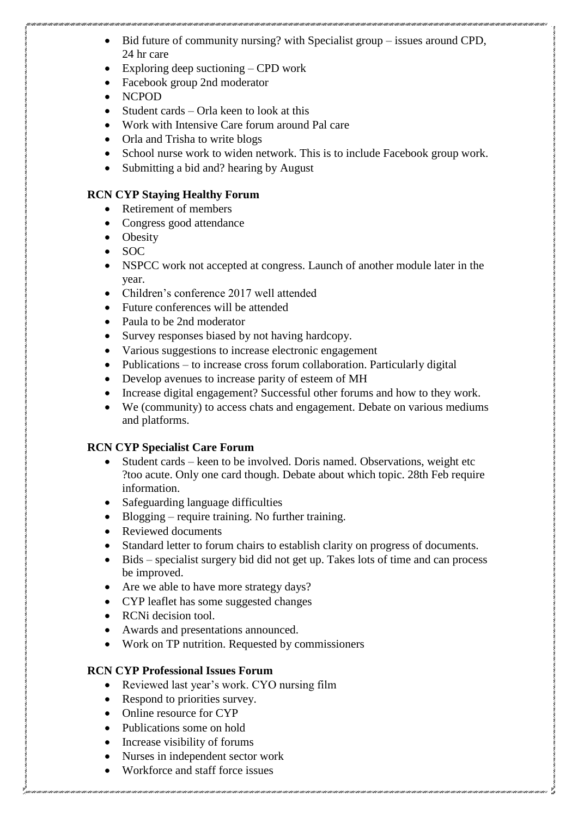- Bid future of community nursing? with Specialist group issues around CPD, 24 hr care
- Exploring deep suctioning CPD work
- Facebook group 2nd moderator
- NCPOD
- Student cards Orla keen to look at this
- Work with Intensive Care forum around Pal care
- Orla and Trisha to write blogs
- School nurse work to widen network. This is to include Facebook group work.
- Submitting a bid and? hearing by August

## **RCN CYP Staying Healthy Forum**

- Retirement of members
- Congress good attendance
- Obesity
- $\bullet$  SOC
- NSPCC work not accepted at congress. Launch of another module later in the year.
- Children's conference 2017 well attended
- Future conferences will be attended
- Paula to be 2nd moderator
- Survey responses biased by not having hardcopy.
- Various suggestions to increase electronic engagement
- Publications to increase cross forum collaboration. Particularly digital
- Develop avenues to increase parity of esteem of MH
- Increase digital engagement? Successful other forums and how to they work.
- We (community) to access chats and engagement. Debate on various mediums and platforms.

## **RCN CYP Specialist Care Forum**

- Student cards keen to be involved. Doris named. Observations, weight etc ?too acute. Only one card though. Debate about which topic. 28th Feb require information.
- Safeguarding language difficulties
- Blogging require training. No further training.
- Reviewed documents
- Standard letter to forum chairs to establish clarity on progress of documents.
- Bids specialist surgery bid did not get up. Takes lots of time and can process be improved.
- Are we able to have more strategy days?
- CYP leaflet has some suggested changes
- RCNi decision tool.
- Awards and presentations announced.
- Work on TP nutrition. Requested by commissioners

## **RCN CYP Professional Issues Forum**

- Reviewed last year's work. CYO nursing film
- Respond to priorities survey.
- Online resource for CYP
- Publications some on hold
- Increase visibility of forums
- Nurses in independent sector work
- Workforce and staff force issues